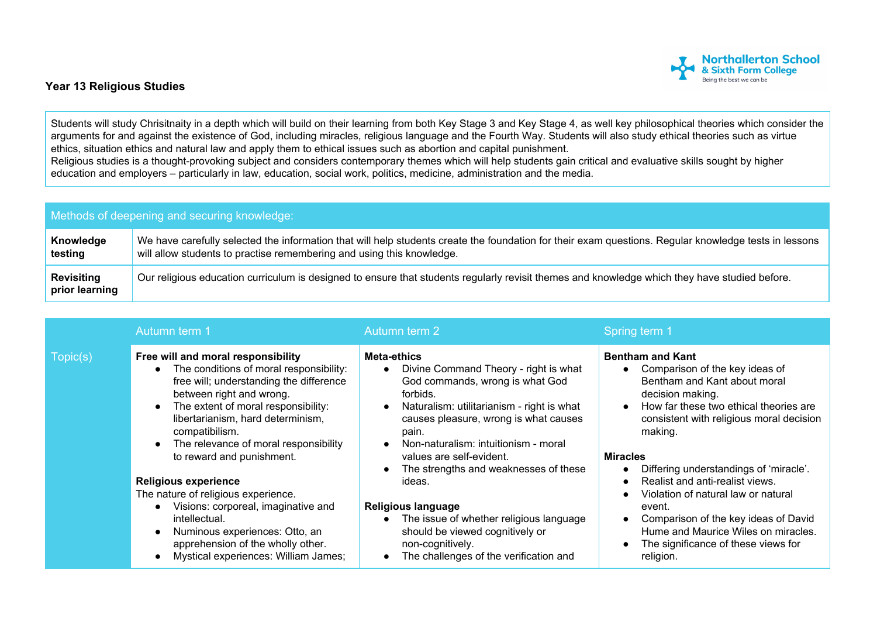

## **Year 13 Religious Studies**

Students will study Chrisitnaity in a depth which will build on their learning from both Key Stage 3 and Key Stage 4, as well key philosophical theories which consider the arguments for and against the existence of God, including miracles, religious language and the Fourth Way. Students will also study ethical theories such as virtue ethics, situation ethics and natural law and apply them to ethical issues such as abortion and capital punishment. Religious studies is a thought-provoking subject and considers contemporary themes which will help students gain critical and evaluative skills sought by higher education and employers – particularly in law, education, social work, politics, medicine, administration and the media.

| Methods of deepening and securing knowledge: |                                                                                                                                                                                                                                |  |  |  |
|----------------------------------------------|--------------------------------------------------------------------------------------------------------------------------------------------------------------------------------------------------------------------------------|--|--|--|
| Knowledge<br>testing                         | We have carefully selected the information that will help students create the foundation for their exam questions. Regular knowledge tests in lessons<br>will allow students to practise remembering and using this knowledge. |  |  |  |
| <b>Revisiting</b><br>prior learning          | Our religious education curriculum is designed to ensure that students regularly revisit themes and knowledge which they have studied before.                                                                                  |  |  |  |

|          | Autumn term 1                                                                                                                                                                                                                                                                                                                                                                                                                                                                                                                                                         | Autumn term 2                                                                                                                                                                                                                                                                                                                                                                                                                                                                                                                                                 | Spring term 1                                                                                                                                                                                                                                                                                                                                                                                                                                                                                                   |
|----------|-----------------------------------------------------------------------------------------------------------------------------------------------------------------------------------------------------------------------------------------------------------------------------------------------------------------------------------------------------------------------------------------------------------------------------------------------------------------------------------------------------------------------------------------------------------------------|---------------------------------------------------------------------------------------------------------------------------------------------------------------------------------------------------------------------------------------------------------------------------------------------------------------------------------------------------------------------------------------------------------------------------------------------------------------------------------------------------------------------------------------------------------------|-----------------------------------------------------------------------------------------------------------------------------------------------------------------------------------------------------------------------------------------------------------------------------------------------------------------------------------------------------------------------------------------------------------------------------------------------------------------------------------------------------------------|
| Topic(s) | Free will and moral responsibility<br>The conditions of moral responsibility:<br>free will; understanding the difference<br>between right and wrong.<br>The extent of moral responsibility:<br>libertarianism, hard determinism,<br>compatibilism.<br>The relevance of moral responsibility<br>to reward and punishment.<br><b>Religious experience</b><br>The nature of religious experience.<br>Visions: corporeal, imaginative and<br>intellectual.<br>Numinous experiences: Otto, an<br>apprehension of the wholly other.<br>Mystical experiences: William James; | Meta-ethics<br>Divine Command Theory - right is what<br>$\bullet$<br>God commands, wrong is what God<br>forbids.<br>Naturalism: utilitarianism - right is what<br>$\bullet$<br>causes pleasure, wrong is what causes<br>pain.<br>Non-naturalism: intuitionism - moral<br>$\bullet$<br>values are self-evident.<br>The strengths and weaknesses of these<br>$\bullet$<br>ideas.<br>Religious language<br>The issue of whether religious language<br>$\bullet$<br>should be viewed cognitively or<br>non-cognitively.<br>The challenges of the verification and | <b>Bentham and Kant</b><br>Comparison of the key ideas of<br>Bentham and Kant about moral<br>decision making.<br>How far these two ethical theories are<br>$\bullet$<br>consistent with religious moral decision<br>making.<br><b>Miracles</b><br>Differing understandings of 'miracle'.<br>Realist and anti-realist views.<br>Violation of natural law or natural<br>event.<br>Comparison of the key ideas of David<br>Hume and Maurice Wiles on miracles.<br>The significance of these views for<br>religion. |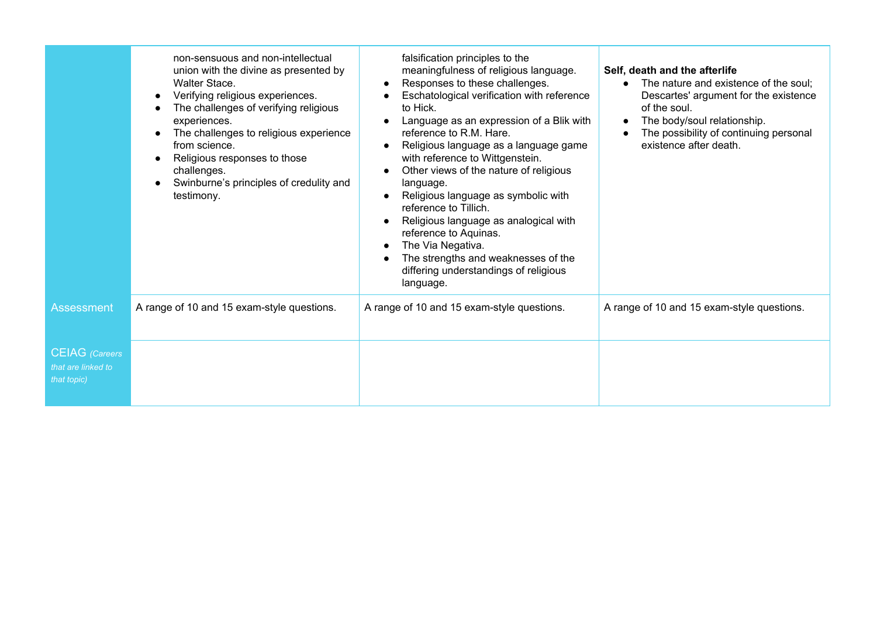|                                                            | non-sensuous and non-intellectual<br>union with the divine as presented by<br>Walter Stace.<br>Verifying religious experiences.<br>The challenges of verifying religious<br>experiences.<br>The challenges to religious experience<br>from science.<br>Religious responses to those<br>challenges.<br>Swinburne's principles of credulity and<br>testimony. | falsification principles to the<br>meaningfulness of religious language.<br>Responses to these challenges.<br>Eschatological verification with reference<br>to Hick.<br>Language as an expression of a Blik with<br>reference to R.M. Hare.<br>Religious language as a language game<br>with reference to Wittgenstein.<br>Other views of the nature of religious<br>language.<br>Religious language as symbolic with<br>reference to Tillich.<br>Religious language as analogical with<br>reference to Aquinas.<br>The Via Negativa.<br>The strengths and weaknesses of the<br>differing understandings of religious<br>language. | Self, death and the afterlife<br>The nature and existence of the soul:<br>Descartes' argument for the existence<br>of the soul.<br>The body/soul relationship.<br>The possibility of continuing personal<br>existence after death. |
|------------------------------------------------------------|-------------------------------------------------------------------------------------------------------------------------------------------------------------------------------------------------------------------------------------------------------------------------------------------------------------------------------------------------------------|------------------------------------------------------------------------------------------------------------------------------------------------------------------------------------------------------------------------------------------------------------------------------------------------------------------------------------------------------------------------------------------------------------------------------------------------------------------------------------------------------------------------------------------------------------------------------------------------------------------------------------|------------------------------------------------------------------------------------------------------------------------------------------------------------------------------------------------------------------------------------|
| <b>Assessment</b>                                          | A range of 10 and 15 exam-style questions.                                                                                                                                                                                                                                                                                                                  | A range of 10 and 15 exam-style questions.                                                                                                                                                                                                                                                                                                                                                                                                                                                                                                                                                                                         | A range of 10 and 15 exam-style questions.                                                                                                                                                                                         |
| <b>CEIAG</b> (Careers<br>that are linked to<br>that topic) |                                                                                                                                                                                                                                                                                                                                                             |                                                                                                                                                                                                                                                                                                                                                                                                                                                                                                                                                                                                                                    |                                                                                                                                                                                                                                    |